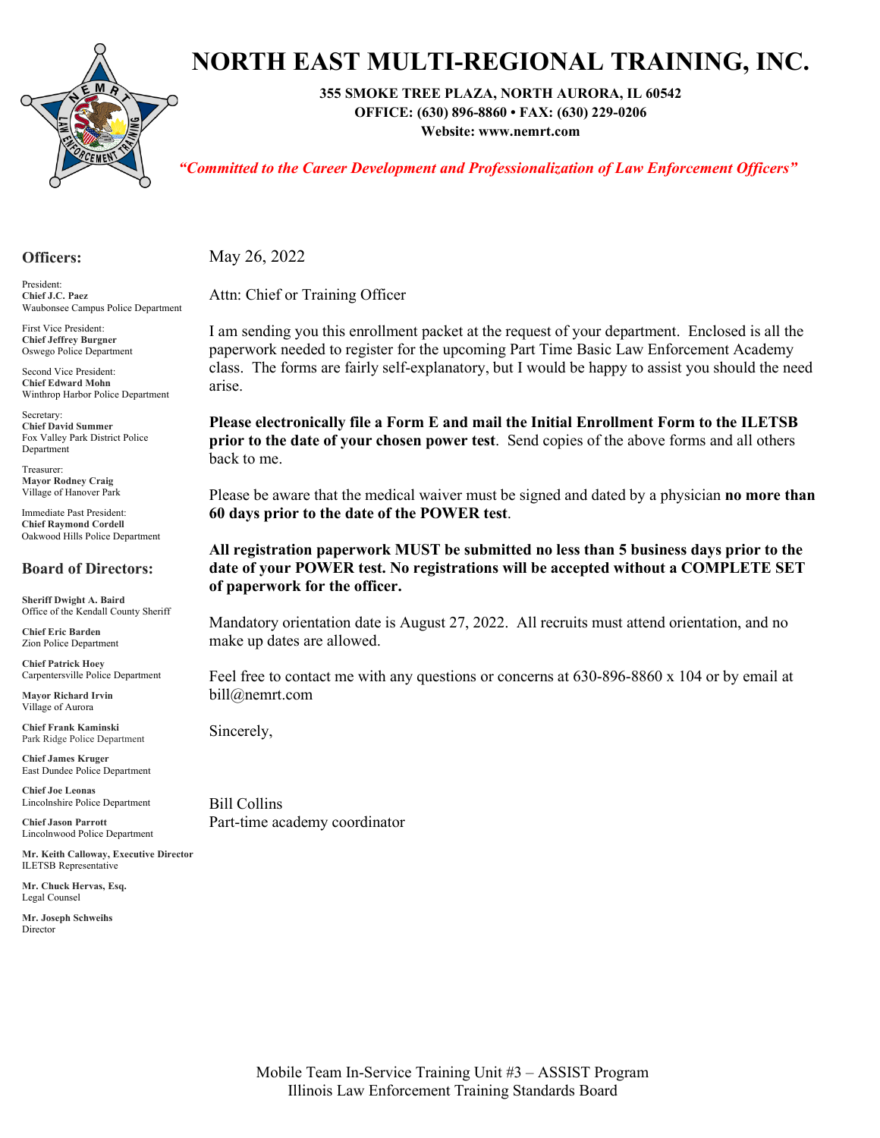

# **NORTH EAST MULTI-REGIONAL TRAINING, INC.**

**355 SMOKE TREE PLAZA, NORTH AURORA, IL 60542**

**OFFICE: (630) 896-8860 • FAX: (630) 229-0206 Website: www.nemrt.com**

*"Committed to the Career Development and Professionalization of Law Enforcement Officers"*

#### **Officers:**

President: **Chief J.C. Paez** Waubonsee Campus Police Department

First Vice President: **Chief Jeffrey Burgner** Oswego Police Department

Second Vice President: **Chief Edward Mohn** Winthrop Harbor Police Department

Secretary: **Chief David Summer** Fox Valley Park District Police Department

Treasurer: **Mayor Rodney Craig** Village of Hanover Park

Immediate Past President: **Chief Raymond Cordell** Oakwood Hills Police Department

#### **Board of Directors:**

**Sheriff Dwight A. Baird** Office of the Kendall County Sheriff

**Chief Eric Barden** Zion Police Department

**Chief Patrick Hoey** Carpentersville Police Department

**Mayor Richard Irvin** Village of Aurora

**Chief Frank Kaminski** Park Ridge Police Department

**Chief James Kruger** East Dundee Police Department

**Chief Joe Leonas** Lincolnshire Police Department

**Chief Jason Parrott** Lincolnwood Police Department

**Mr. Keith Calloway, Executive Director** ILETSB Representative

**Mr. Chuck Hervas, Esq.** Legal Counsel

**Mr. Joseph Schweihs** Director

May 26, 2022

Attn: Chief or Training Officer

I am sending you this enrollment packet at the request of your department. Enclosed is all the paperwork needed to register for the upcoming Part Time Basic Law Enforcement Academy class. The forms are fairly self-explanatory, but I would be happy to assist you should the need arise.

**Please electronically file a Form E and mail the Initial Enrollment Form to the ILETSB prior to the date of your chosen power test**. Send copies of the above forms and all others back to me.

Please be aware that the medical waiver must be signed and dated by a physician **no more than 60 days prior to the date of the POWER test**.

#### **All registration paperwork MUST be submitted no less than 5 business days prior to the date of your POWER test. No registrations will be accepted without a COMPLETE SET of paperwork for the officer.**

Mandatory orientation date is August 27, 2022. All recruits must attend orientation, and no make up dates are allowed.

Feel free to contact me with any questions or concerns at 630-896-8860 x 104 or by email at bill@nemrt.com

Sincerely,

Bill Collins Part-time academy coordinator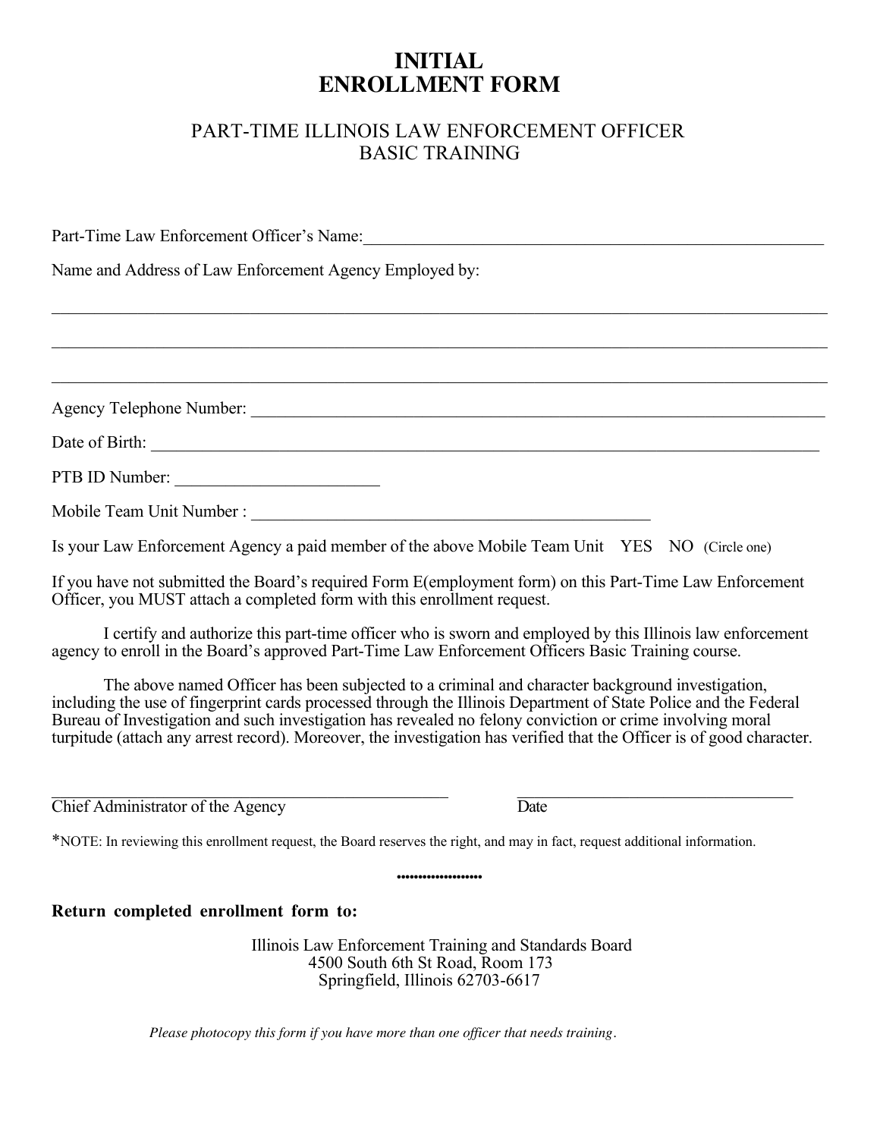## **INITIAL ENROLLMENT FORM**

### PART-TIME ILLINOIS LAW ENFORCEMENT OFFICER **BASIC TRAINING**

Part-Time Law Enforcement Officer's Name:

BBBBBBBBBBBBBBBBBBBBBBBBBBBBBBBBBBBBBBBBBBBBBBBBBBBBBBBBBBBBBBBBBBBBBBBBBBBBBBBBBBBBBBBBBB

BBBBBBBBBBBBBBBBBBBBBBBBBBBBBBBBBBBBBBBBBBBBBBBBBBBBBBBBBBBBBBBBBBBBBBBBBBBBBBBBBBBBBBBBBB

BBBBBBBBBBBBBBBBBBBBBBBBBBBBBBBBBBBBBBBBBBBBBBBBBBBBBBBBBBBBBBBBBBBBBBBBBBBBBBBBBBBBBBBBBB

Name and Address of Law Enforcement Agency Employed by:

Agency Telephone Number: <u>January Barbara Barbara Barbara Barbara Barbara Barbara Barbara Barbara Barbara Barbara Barbara Barbara Barbara Barbara Barbara Barbara Barbara Barbara Barbara Barbara Barbara Barbara Barbara Barb</u>

Date of Birth:

PTB ID Number:

Mobile Team Unit Number : The Company of the Company of the Company of the Company of the Company of the Company of the Company of the Company of the Company of the Company of the Company of the Company of the Company of t

Is your Law Enforcement Agency a paid member of the above Mobile Team Unit YES NO (Circle one)

If you have not submitted the Board's required Form E(employment form) on this Part-Time Law Enforcement Officer, you MUST attach a completed form with this enrollment request.

I certify and authorize this part-time officer who is sworn and employed by this Illinois law enforcement agency to enroll in the Board's approved Part-Time Law Enforcement Officers Basic Training course.

The above named Officer has been subjected to a criminal and character background investigation, including the use of fingerprint cards processed through the Illinois Department of State Police and the Federal Bureau of Investigation and such investigation has revealed no felony conviction or crime involving moral turpitude (attach any arrest record). Moreover, the investigation has verified that the Officer is of good character.

BBBBBBBBBBBBBBBBBBBBBBBBBBBBBBBBBBBBBBBBBBBBBB BBBBBBBBBBBBBBBBBBBBBBBBBBBBBBBB

 $\overline{\text{Chief} }$  Administrator of the Agency  $\overline{\text{Date}}$ 

\*NOTE: In reviewing this enrollment request, the Board reserves the right, and may in fact, request additional information.

**Return completed enrollment form to:**

Illinois Law Enforcement Training and Standards Board<br>4500 South 6th St Road, Room 173<br>Springfield, Illinois 62703-6617

...................

*Please photocopy this form if you have more than one officer that needs training.*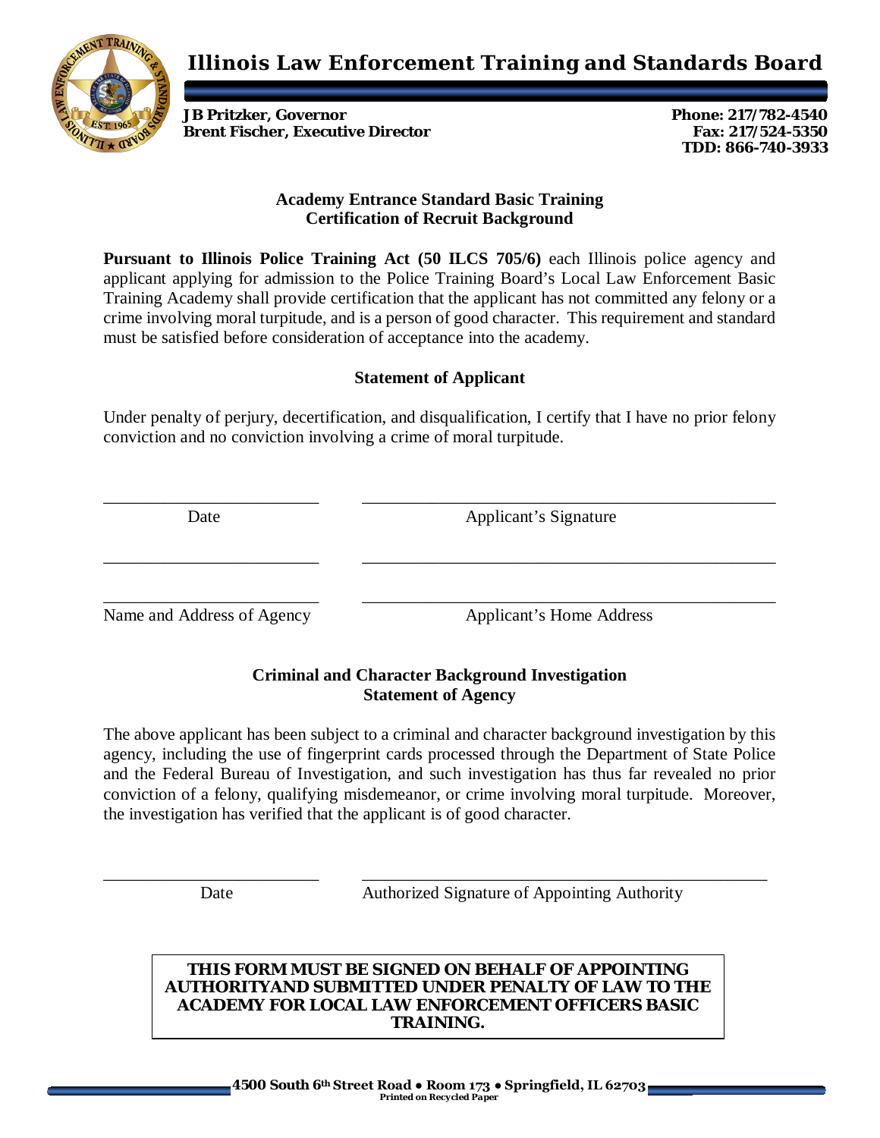**Illinois Law Enforcement Training and Standards Board**



**JB Pritzker, Governor Phone: 217/782-4540 Brent Fischer, Executive Director Fax: 217/524-5350** 

**TDD: 866-740-3933**

#### **Academy Entrance Standard Basic Training Certification of Recruit Background**

**Pursuant to Illinois Police Training Act (50 ILCS 705/6)** each Illinois police agency and applicant applying for admission to the Police Training Board's Local Law Enforcement Basic Training Academy shall provide certification that the applicant has not committed any felony or a crime involving moral turpitude, and is a person of good character. This requirement and standard must be satisfied before consideration of acceptance into the academy.

#### **Statement of Applicant**

Under penalty of perjury, decertification, and disqualification, I certify that I have no prior felony conviction and no conviction involving a crime of moral turpitude.

\_\_\_\_\_\_\_\_\_\_\_\_\_\_\_\_\_\_\_\_\_\_\_\_\_ \_\_\_\_\_\_\_\_\_\_\_\_\_\_\_\_\_\_\_\_\_\_\_\_\_\_\_\_\_\_\_\_\_\_\_\_\_\_\_\_\_\_\_\_\_\_\_\_

\_\_\_\_\_\_\_\_\_\_\_\_\_\_\_\_\_\_\_\_\_\_\_\_\_ \_\_\_\_\_\_\_\_\_\_\_\_\_\_\_\_\_\_\_\_\_\_\_\_\_\_\_\_\_\_\_\_\_\_\_\_\_\_\_\_\_\_\_\_\_\_\_\_

Date Applicant's Signature

\_\_\_\_\_\_\_\_\_\_\_\_\_\_\_\_\_\_\_\_\_\_\_\_\_ \_\_\_\_\_\_\_\_\_\_\_\_\_\_\_\_\_\_\_\_\_\_\_\_\_\_\_\_\_\_\_\_\_\_\_\_\_\_\_\_\_\_\_\_\_\_\_\_ Name and Address of Agency Applicant's Home Address

### **Criminal and Character Background Investigation Statement of Agency**

The above applicant has been subject to a criminal and character background investigation by this agency, including the use of fingerprint cards processed through the Department of State Police and the Federal Bureau of Investigation, and such investigation has thus far revealed no prior conviction of a felony, qualifying misdemeanor, or crime involving moral turpitude. Moreover, the investigation has verified that the applicant is of good character.

\_\_\_\_\_\_\_\_\_\_\_\_\_\_\_\_\_\_\_\_\_\_\_\_\_ \_\_\_\_\_\_\_\_\_\_\_\_\_\_\_\_\_\_\_\_\_\_\_\_\_\_\_\_\_\_\_\_\_\_\_\_\_\_\_\_\_\_\_\_\_\_\_

Date **Authorized Signature of Appointing Authority** 

#### **THIS FORM MUST BE SIGNED ON BEHALF OF APPOINTING AUTHORITYAND SUBMITTED UNDER PENALTY OF LAW TO THE ACADEMY FOR LOCAL LAW ENFORCEMENT OFFICERS BASIC TRAINING.**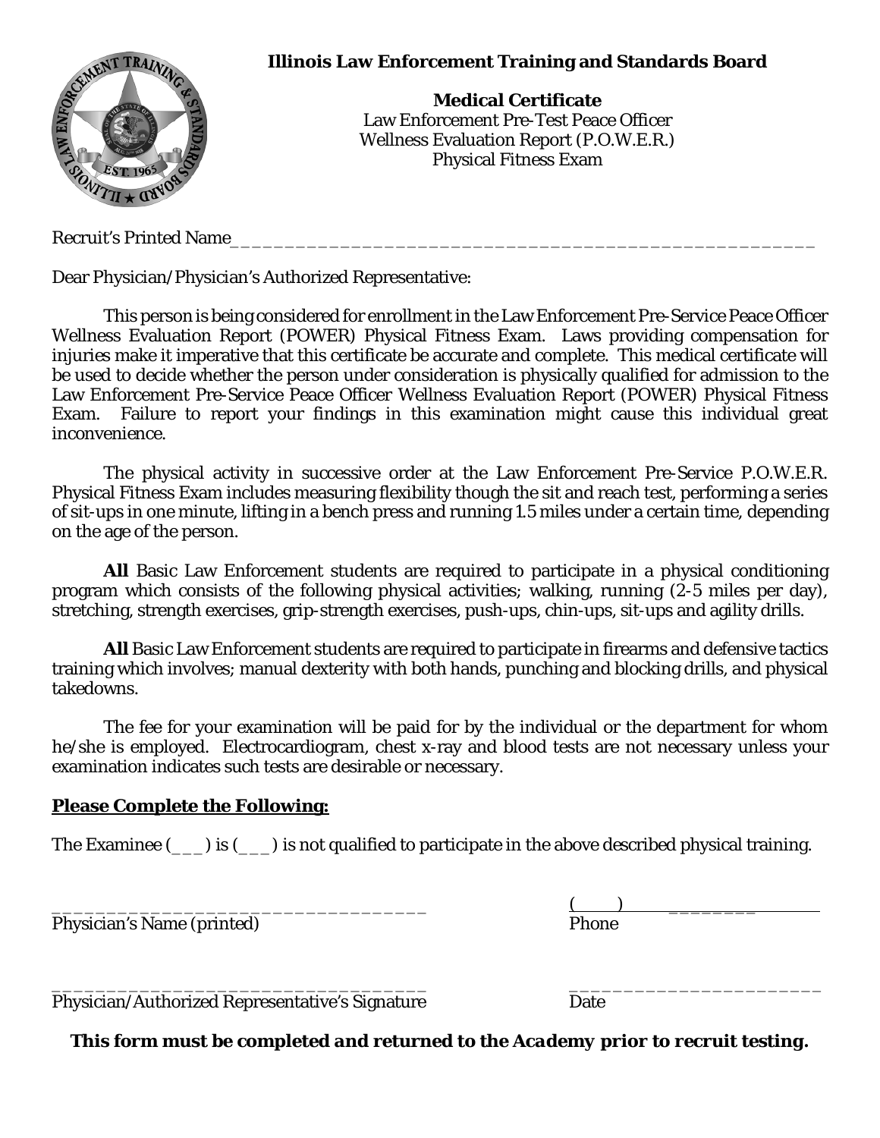

Recruit's Printed Name

Dear Physician/Physician's Authorized Representative:

This person is being considered for enrollment in the Law Enforcement Pre-Service Peace Officer Wellness Evaluation Report (POWER) Physical Fitness Exam. Laws providing compensation for injuries make it imperative that this certificate be accurate and complete. This medical certificate will be used to decide whether the person under consideration is physically qualified for admission to the Law Enforcement Pre-Service Peace Officer Wellness Evaluation Report (POWER) Physical Fitness Exam. Failure to report your findings in this examination might cause this individual great inconvenience.

The physical activity in successive order at the Law Enforcement Pre-Service P.O.W.E.R. Physical Fitness Exam includes measuring flexibility though the sit and reach test, performing a series of sit-ups in one minute, lifting in a bench press and running 1.5 miles under a certain time, depending on the age of the person.

**All** Basic Law Enforcement students are required to participate in a physical conditioning program which consists of the following physical activities; walking, running (2-5 miles per day), stretching, strength exercises, grip-strength exercises, push-ups, chin-ups, sit-ups and agility drills.

**All** Basic Law Enforcement students are required to participate in firearms and defensive tactics training which involves; manual dexterity with both hands, punching and blocking drills, and physical takedowns.

The fee for your examination will be paid for by the individual or the department for whom he/she is employed. Electrocardiogram, chest x-ray and blood tests are not necessary unless your examination indicates such tests are desirable or necessary.

#### **Please Complete the Following:**

The Examinee  $(\_\_\_)$  is  $(\_\_)$  is not qualified to participate in the above described physical training.

Physician's Name (printed)

\_\_\_\_\_\_\_\_\_\_\_\_\_\_\_\_\_\_\_\_\_\_\_\_\_\_\_\_\_\_\_\_\_\_ \_\_\_\_\_\_\_\_\_\_\_\_\_\_\_\_\_\_\_\_\_\_\_ Physician/Authorized Representative's Signature Date

 $\underbrace{\text{(}}$  <br>Phone

*This form must be completed and returned to the Academy prior to recruit testing.*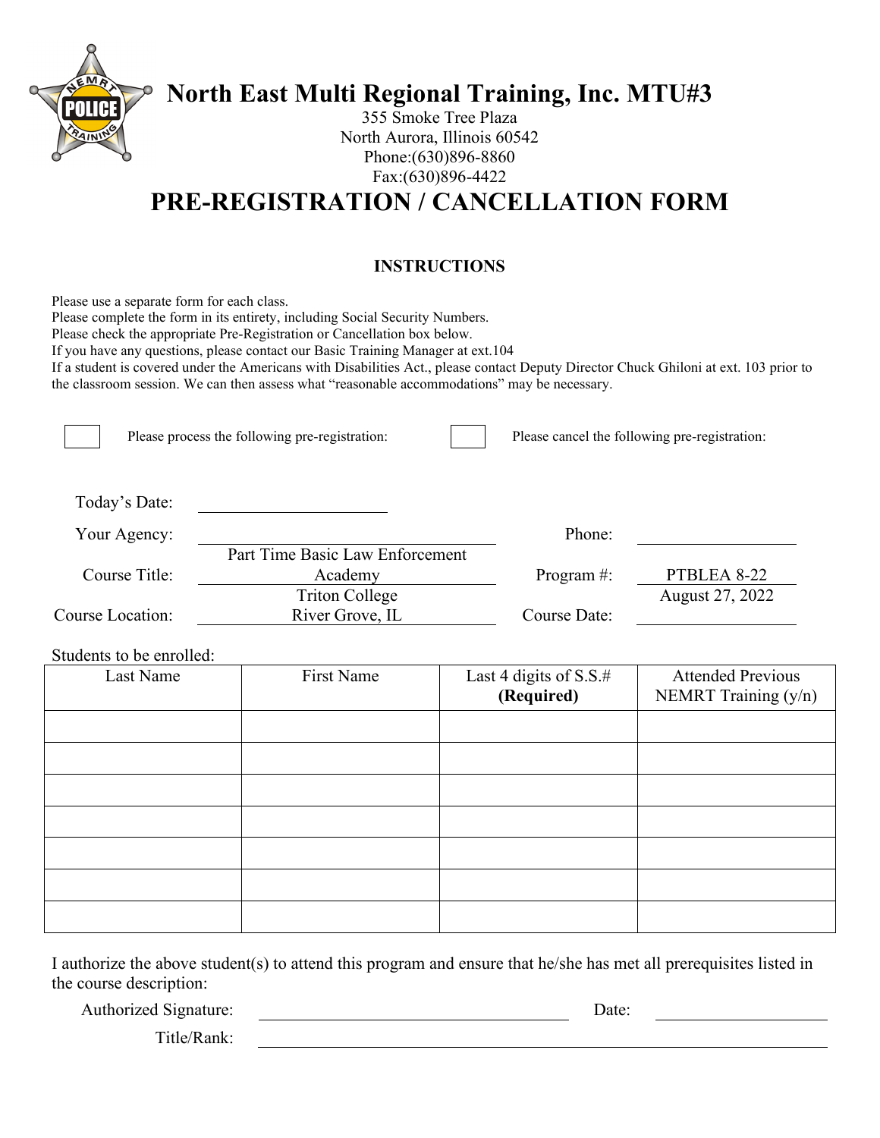

**North East Multi Regional Training, Inc. MTU#3**

355 Smoke Tree Plaza North Aurora, Illinois 60542 Phone:(630)896-8860 Fax:(630)896-4422

## **PRE-REGISTRATION / CANCELLATION FORM**

### **INSTRUCTIONS**

Please use a separate form for each class.

Please complete the form in its entirety, including Social Security Numbers.

Please check the appropriate Pre-Registration or Cancellation box below.

If you have any questions, please contact our Basic Training Manager at ext.104

If a student is covered under the Americans with Disabilities Act., please contact Deputy Director Chuck Ghiloni at ext. 103 prior to the classroom session. We can then assess what "reasonable accommodations" may be necessary.

|                  | Please process the following pre-registration: |                | Please cancel the following pre-registration: |
|------------------|------------------------------------------------|----------------|-----------------------------------------------|
| Today's Date:    |                                                |                |                                               |
| Your Agency:     |                                                | Phone:         |                                               |
|                  | Part Time Basic Law Enforcement                |                |                                               |
| Course Title:    | Academy                                        | Program $\#$ : | PTBLEA 8-22                                   |
|                  | <b>Triton College</b>                          |                | August 27, 2022                               |
| Course Location: | River Grove, IL                                | Course Date:   |                                               |

Students to be enrolled:<br>Last Name First Name Last 4 digits of S.S.# **(Required)** NEMRT Training (y/n)

I authorize the above student(s) to attend this program and ensure that he/she has met all prerequisites listed in the course description:

Authorized Signature: Date:

Attended Previous

Title/Rank: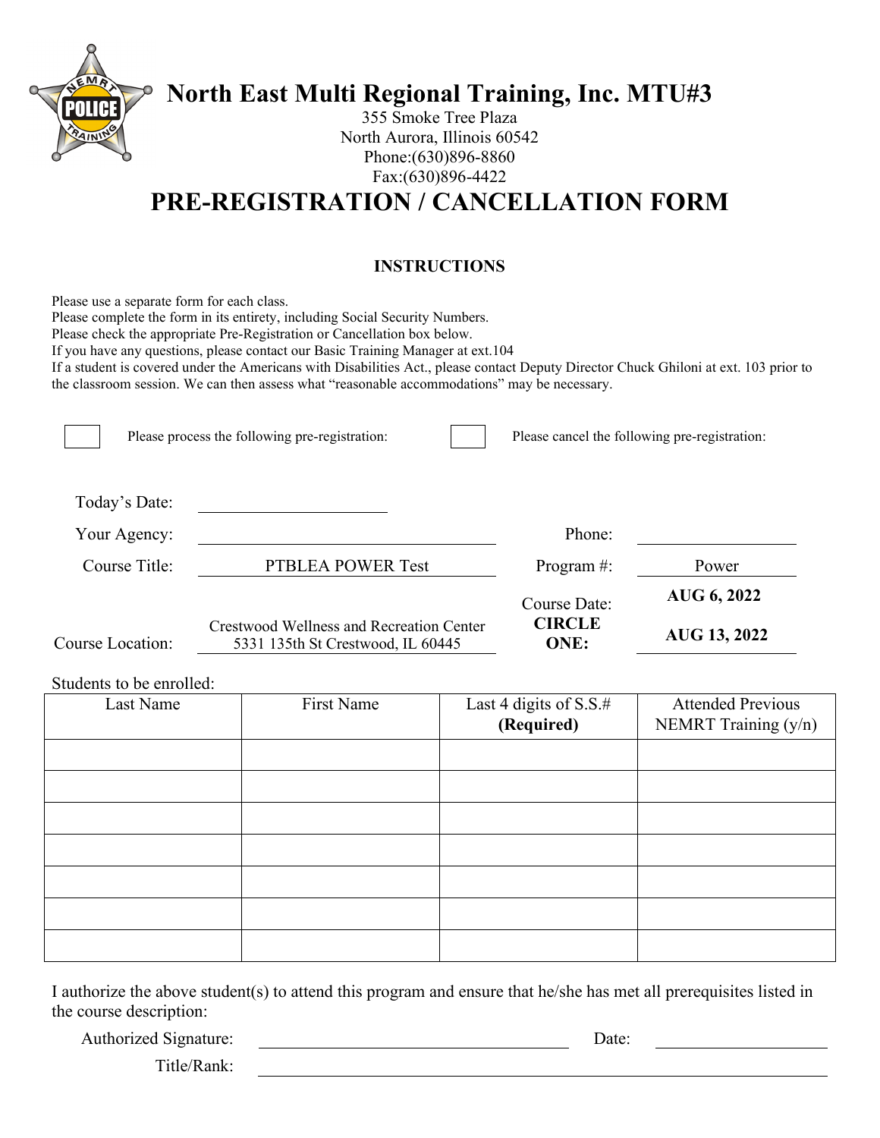

# **North East Multi Regional Training, Inc. MTU#3**

355 Smoke Tree Plaza North Aurora, Illinois 60542 Phone:(630)896-8860 Fax:(630)896-4422

## **PRE-REGISTRATION / CANCELLATION FORM**

### **INSTRUCTIONS**

Please use a separate form for each class.

Please complete the form in its entirety, including Social Security Numbers.

Please check the appropriate Pre-Registration or Cancellation box below.

If you have any questions, please contact our Basic Training Manager at ext.104

If a student is covered under the Americans with Disabilities Act., please contact Deputy Director Chuck Ghiloni at ext. 103 prior to the classroom session. We can then assess what "reasonable accommodations" may be necessary.

|                         | Please process the following pre-registration:                                       | Please cancel the following pre-registration: |              |
|-------------------------|--------------------------------------------------------------------------------------|-----------------------------------------------|--------------|
| Today's Date:           |                                                                                      |                                               |              |
| Your Agency:            |                                                                                      | Phone:                                        |              |
| Course Title:           | PTBLEA POWER Test                                                                    | Program $\#$ :                                | Power        |
|                         |                                                                                      | Course Date:                                  | AUG 6, 2022  |
| <b>Course Location:</b> | <b>Crestwood Wellness and Recreation Center</b><br>5331 135th St Crestwood, IL 60445 | <b>CIRCLE</b><br><b>ONE:</b>                  | AUG 13, 2022 |

#### Students to be enrolled:

| Last Name | First Name | Last 4 digits of S.S.#<br>(Required) | <b>Attended Previous</b><br>NEMRT Training (y/n) |
|-----------|------------|--------------------------------------|--------------------------------------------------|
|           |            |                                      |                                                  |
|           |            |                                      |                                                  |
|           |            |                                      |                                                  |
|           |            |                                      |                                                  |
|           |            |                                      |                                                  |
|           |            |                                      |                                                  |
|           |            |                                      |                                                  |
|           |            |                                      |                                                  |

I authorize the above student(s) to attend this program and ensure that he/she has met all prerequisites listed in the course description:

Authorized Signature: Date:

Title/Rank: